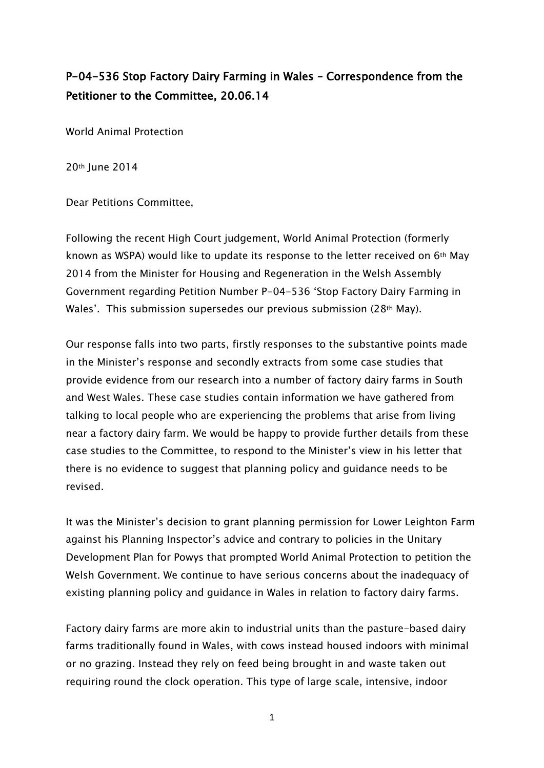# P-04-536 Stop Factory Dairy Farming in Wales – Correspondence from the Petitioner to the Committee, 20.06.14

World Animal Protection

20th June 2014

Dear Petitions Committee,

Following the recent High Court judgement, World Animal Protection (formerly known as WSPA) would like to update its response to the letter received on 6th May 2014 from the Minister for Housing and Regeneration in the Welsh Assembly Government regarding Petition Number P-04-536 "Stop Factory Dairy Farming in Wales'. This submission supersedes our previous submission (28th May).

Our response falls into two parts, firstly responses to the substantive points made in the Minister"s response and secondly extracts from some case studies that provide evidence from our research into a number of factory dairy farms in South and West Wales. These case studies contain information we have gathered from talking to local people who are experiencing the problems that arise from living near a factory dairy farm. We would be happy to provide further details from these case studies to the Committee, to respond to the Minister"s view in his letter that there is no evidence to suggest that planning policy and guidance needs to be revised.

It was the Minister"s decision to grant planning permission for Lower Leighton Farm against his Planning Inspector"s advice and contrary to policies in the Unitary Development Plan for Powys that prompted World Animal Protection to petition the Welsh Government. We continue to have serious concerns about the inadequacy of existing planning policy and guidance in Wales in relation to factory dairy farms.

Factory dairy farms are more akin to industrial units than the pasture-based dairy farms traditionally found in Wales, with cows instead housed indoors with minimal or no grazing. Instead they rely on feed being brought in and waste taken out requiring round the clock operation. This type of large scale, intensive, indoor

1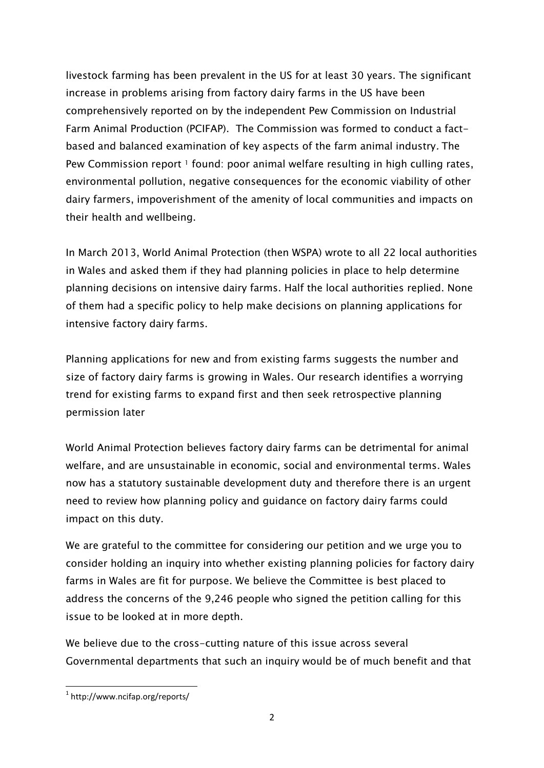livestock farming has been prevalent in the US for at least 30 years. The significant increase in problems arising from factory dairy farms in the US have been comprehensively reported on by the independent Pew Commission on Industrial Farm Animal Production (PCIFAP). The Commission was formed to conduct a factbased and balanced examination of key aspects of the farm animal industry. The Pew Commission report <sup>1</sup> found: poor animal welfare resulting in high culling rates, environmental pollution, negative consequences for the economic viability of other dairy farmers, impoverishment of the amenity of local communities and impacts on their health and wellbeing.

In March 2013, World Animal Protection (then WSPA) wrote to all 22 local authorities in Wales and asked them if they had planning policies in place to help determine planning decisions on intensive dairy farms. Half the local authorities replied. None of them had a specific policy to help make decisions on planning applications for intensive factory dairy farms.

Planning applications for new and from existing farms suggests the number and size of factory dairy farms is growing in Wales. Our research identifies a worrying trend for existing farms to expand first and then seek retrospective planning permission later

World Animal Protection believes factory dairy farms can be detrimental for animal welfare, and are unsustainable in economic, social and environmental terms. Wales now has a statutory sustainable development duty and therefore there is an urgent need to review how planning policy and guidance on factory dairy farms could impact on this duty.

We are grateful to the committee for considering our petition and we urge you to consider holding an inquiry into whether existing planning policies for factory dairy farms in Wales are fit for purpose. We believe the Committee is best placed to address the concerns of the 9,246 people who signed the petition calling for this issue to be looked at in more depth.

We believe due to the cross-cutting nature of this issue across several Governmental departments that such an inquiry would be of much benefit and that

**.** 

<sup>1</sup> http://www.ncifap.org/reports/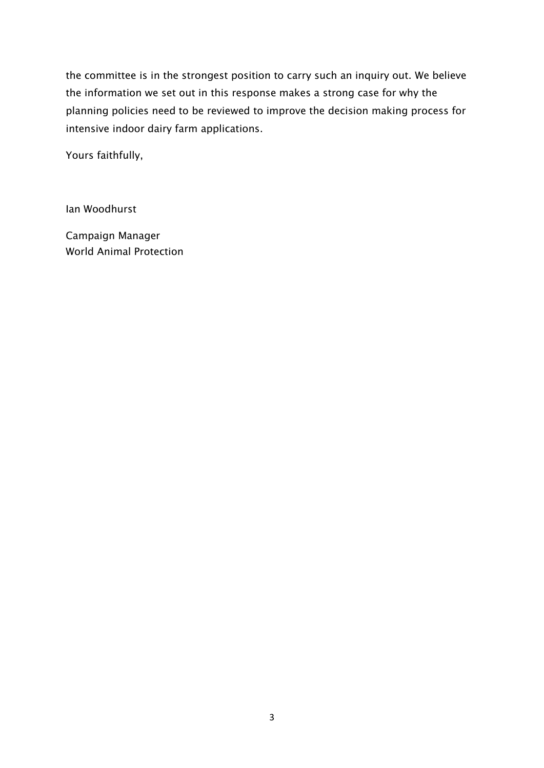the committee is in the strongest position to carry such an inquiry out. We believe the information we set out in this response makes a strong case for why the planning policies need to be reviewed to improve the decision making process for intensive indoor dairy farm applications.

Yours faithfully,

Ian Woodhurst

Campaign Manager World Animal Protection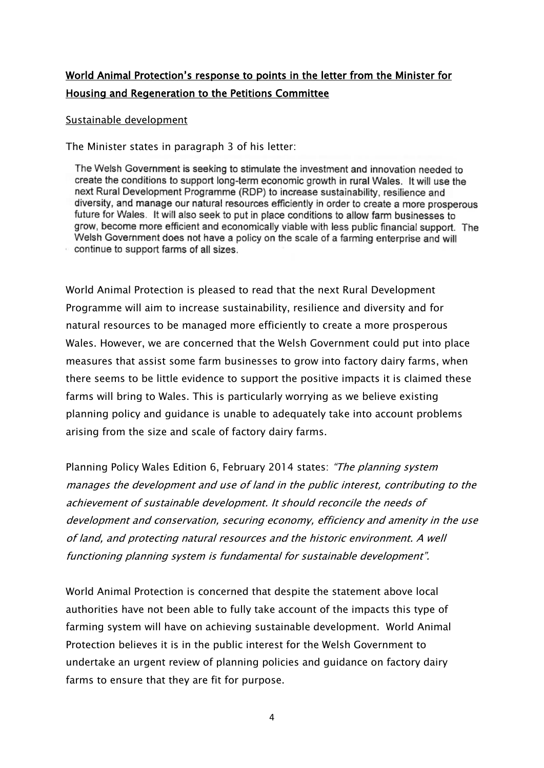# World Animal Protection"s response to points in the letter from the Minister for Housing and Regeneration to the Petitions Committee

#### Sustainable development

The Minister states in paragraph 3 of his letter:

The Welsh Government is seeking to stimulate the investment and innovation needed to create the conditions to support long-term economic growth in rural Wales. It will use the next Rural Development Programme (RDP) to increase sustainability, resilience and diversity, and manage our natural resources efficiently in order to create a more prosperous future for Wales. It will also seek to put in place conditions to allow farm businesses to grow, become more efficient and economically viable with less public financial support. The Welsh Government does not have a policy on the scale of a farming enterprise and will continue to support farms of all sizes.

World Animal Protection is pleased to read that the next Rural Development Programme will aim to increase sustainability, resilience and diversity and for natural resources to be managed more efficiently to create a more prosperous Wales. However, we are concerned that the Welsh Government could put into place measures that assist some farm businesses to grow into factory dairy farms, when there seems to be little evidence to support the positive impacts it is claimed these farms will bring to Wales. This is particularly worrying as we believe existing planning policy and guidance is unable to adequately take into account problems arising from the size and scale of factory dairy farms.

Planning Policy Wales Edition 6, February 2014 states: "The planning system manages the development and use of land in the public interest, contributing to the achievement of sustainable development. It should reconcile the needs of development and conservation, securing economy, efficiency and amenity in the use of land, and protecting natural resources and the historic environment. A well functioning planning system is fundamental for sustainable development".

World Animal Protection is concerned that despite the statement above local authorities have not been able to fully take account of the impacts this type of farming system will have on achieving sustainable development. World Animal Protection believes it is in the public interest for the Welsh Government to undertake an urgent review of planning policies and guidance on factory dairy farms to ensure that they are fit for purpose.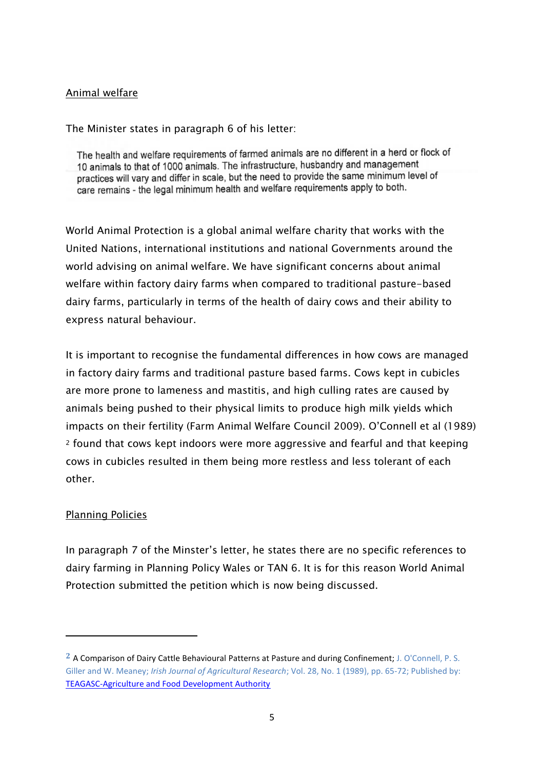### Animal welfare

The Minister states in paragraph 6 of his letter:

The health and welfare requirements of farmed animals are no different in a herd or flock of 10 animals to that of 1000 animals. The infrastructure, husbandry and management practices will vary and differ in scale, but the need to provide the same minimum level of care remains - the legal minimum health and welfare requirements apply to both.

World Animal Protection is a global animal welfare charity that works with the United Nations, international institutions and national Governments around the world advising on animal welfare. We have significant concerns about animal welfare within factory dairy farms when compared to traditional pasture-based dairy farms, particularly in terms of the health of dairy cows and their ability to express natural behaviour.

It is important to recognise the fundamental differences in how cows are managed in factory dairy farms and traditional pasture based farms. Cows kept in cubicles are more prone to lameness and mastitis, and high culling rates are caused by animals being pushed to their physical limits to produce high milk yields which impacts on their fertility (Farm Animal Welfare Council 2009). O"Connell et al (1989) <sup>2</sup> found that cows kept indoors were more aggressive and fearful and that keeping cows in cubicles resulted in them being more restless and less tolerant of each other.

### Planning Policies

**.** 

In paragraph 7 of the Minster"s letter, he states there are no specific references to dairy farming in Planning Policy Wales or TAN 6. It is for this reason World Animal Protection submitted the petition which is now being discussed.

**<sup>2</sup>** A Comparison of Dairy Cattle Behavioural Patterns at Pasture and during Confinement; J. O'Connell, P. S. Giller and W. Meaney; *Irish Journal of Agricultural Research*; Vol. 28, No. 1 (1989), pp. 65-72; Published by: [TEAGASC-Agriculture and Food Development Authority](http://www.jstor.org/action/showPublisher?publisherCode=teagasc)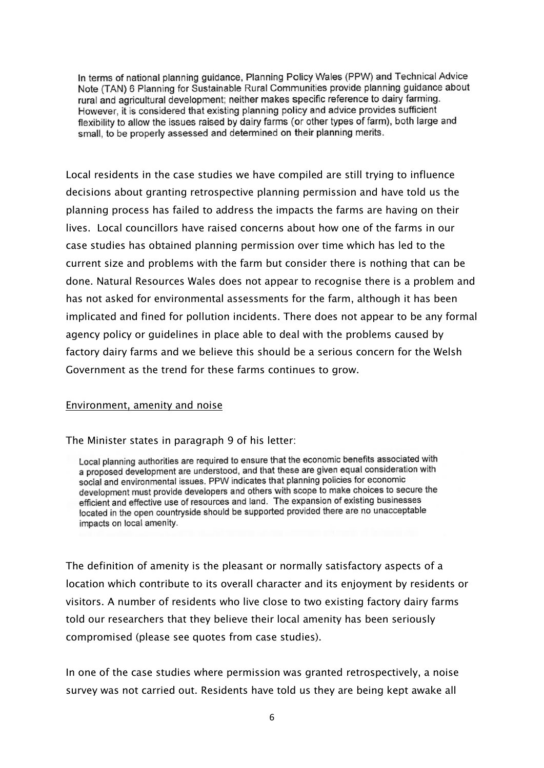In terms of national planning guidance, Planning Policy Wales (PPW) and Technical Advice Note (TAN) 6 Planning for Sustainable Rural Communities provide planning guidance about rural and agricultural development; neither makes specific reference to dairy farming. However, it is considered that existing planning policy and advice provides sufficient flexibility to allow the issues raised by dairy farms (or other types of farm), both large and small, to be properly assessed and determined on their planning merits.

Local residents in the case studies we have compiled are still trying to influence decisions about granting retrospective planning permission and have told us the planning process has failed to address the impacts the farms are having on their lives. Local councillors have raised concerns about how one of the farms in our case studies has obtained planning permission over time which has led to the current size and problems with the farm but consider there is nothing that can be done. Natural Resources Wales does not appear to recognise there is a problem and has not asked for environmental assessments for the farm, although it has been implicated and fined for pollution incidents. There does not appear to be any formal agency policy or guidelines in place able to deal with the problems caused by factory dairy farms and we believe this should be a serious concern for the Welsh Government as the trend for these farms continues to grow.

#### Environment, amenity and noise

The Minister states in paragraph 9 of his letter:

Local planning authorities are required to ensure that the economic benefits associated with a proposed development are understood, and that these are given equal consideration with social and environmental issues. PPW indicates that planning policies for economic development must provide developers and others with scope to make choices to secure the efficient and effective use of resources and land. The expansion of existing businesses located in the open countryside should be supported provided there are no unacceptable impacts on local amenity.

The definition of amenity is the pleasant or normally satisfactory aspects of a location which contribute to its overall character and its enjoyment by residents or visitors. A number of residents who live close to two existing factory dairy farms told our researchers that they believe their local amenity has been seriously compromised (please see quotes from case studies).

In one of the case studies where permission was granted retrospectively, a noise survey was not carried out. Residents have told us they are being kept awake all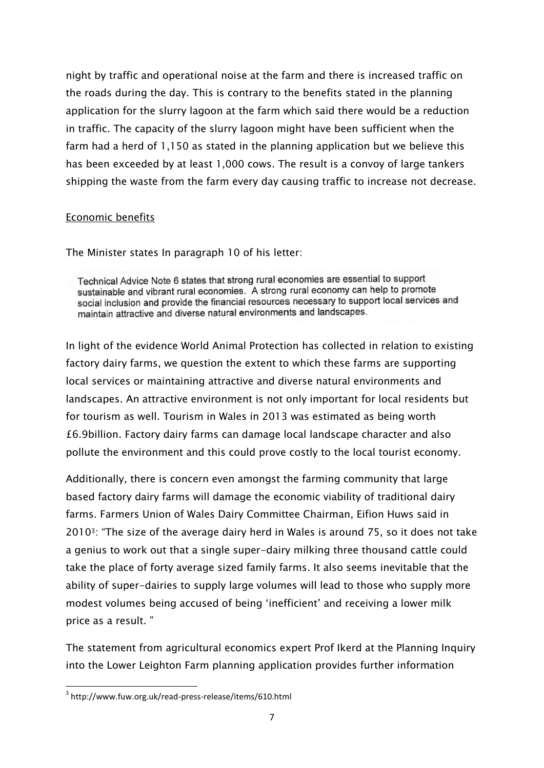night by traffic and operational noise at the farm and there is increased traffic on the roads during the day. This is contrary to the benefits stated in the planning application for the slurry lagoon at the farm which said there would be a reduction in traffic. The capacity of the slurry lagoon might have been sufficient when the farm had a herd of 1,150 as stated in the planning application but we believe this has been exceeded by at least 1,000 cows. The result is a convoy of large tankers shipping the waste from the farm every day causing traffic to increase not decrease.

### Economic benefits

The Minister states In paragraph 10 of his letter:

Technical Advice Note 6 states that strong rural economies are essential to support sustainable and vibrant rural economies. A strong rural economy can help to promote social inclusion and provide the financial resources necessary to support local services and maintain attractive and diverse natural environments and landscapes.

In light of the evidence World Animal Protection has collected in relation to existing factory dairy farms, we question the extent to which these farms are supporting local services or maintaining attractive and diverse natural environments and landscapes. An attractive environment is not only important for local residents but for tourism as well. Tourism in Wales in 2013 was estimated as being worth £6.9billion. Factory dairy farms can damage local landscape character and also pollute the environment and this could prove costly to the local tourist economy.

Additionally, there is concern even amongst the farming community that large based factory dairy farms will damage the economic viability of traditional dairy farms. Farmers Union of Wales Dairy Committee Chairman, Eifion Huws said in 20103: "The size of the average dairy herd in Wales is around 75, so it does not take a genius to work out that a single super-dairy milking three thousand cattle could take the place of forty average sized family farms. It also seems inevitable that the ability of super-dairies to supply large volumes will lead to those who supply more modest volumes being accused of being "inefficient" and receiving a lower milk price as a result. "

The statement from agricultural economics expert Prof Ikerd at the Planning Inquiry into the Lower Leighton Farm planning application provides further information

**<sup>.</sup>** 3 http://www.fuw.org.uk/read-press-release/items/610.html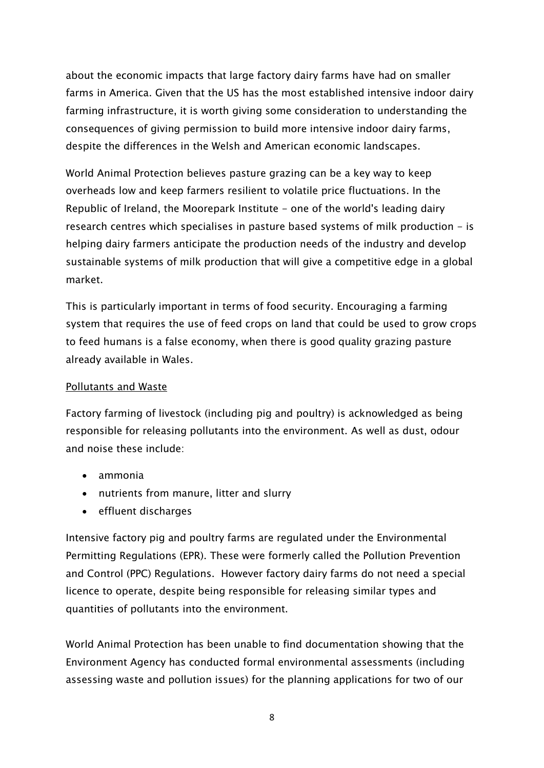about the economic impacts that large factory dairy farms have had on smaller farms in America. Given that the US has the most established intensive indoor dairy farming infrastructure, it is worth giving some consideration to understanding the consequences of giving permission to build more intensive indoor dairy farms, despite the differences in the Welsh and American economic landscapes.

World Animal Protection believes pasture grazing can be a key way to keep overheads low and keep farmers resilient to volatile price fluctuations. In the Republic of Ireland, the Moorepark Institute - one of the world's leading dairy research centres which specialises in pasture based systems of milk production - is helping dairy farmers anticipate the production needs of the industry and develop sustainable systems of milk production that will give a competitive edge in a global market.

This is particularly important in terms of food security. Encouraging a farming system that requires the use of feed crops on land that could be used to grow crops to feed humans is a false economy, when there is good quality grazing pasture already available in Wales.

### Pollutants and Waste

Factory farming of livestock (including pig and poultry) is acknowledged as being responsible for releasing pollutants into the environment. As well as dust, odour and noise these include:

- ammonia
- nutrients from manure, litter and slurry
- effluent discharges

Intensive factory pig and poultry farms are regulated under the Environmental Permitting Regulations (EPR). These were formerly called the Pollution Prevention and Control (PPC) Regulations. However factory dairy farms do not need a special licence to operate, despite being responsible for releasing similar types and quantities of pollutants into the environment.

World Animal Protection has been unable to find documentation showing that the Environment Agency has conducted formal environmental assessments (including assessing waste and pollution issues) for the planning applications for two of our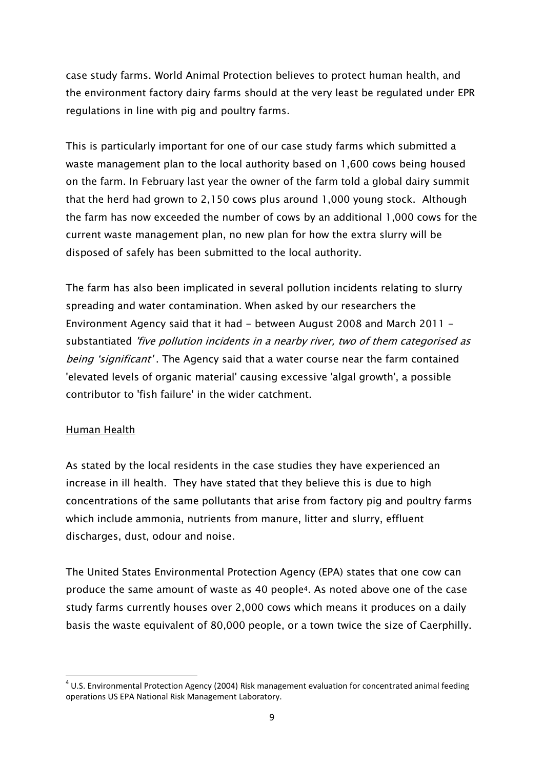case study farms. World Animal Protection believes to protect human health, and the environment factory dairy farms should at the very least be regulated under EPR regulations in line with pig and poultry farms.

This is particularly important for one of our case study farms which submitted a waste management plan to the local authority based on 1,600 cows being housed on the farm. In February last year the owner of the farm told a global dairy summit that the herd had grown to 2,150 cows plus around 1,000 young stock. Although the farm has now exceeded the number of cows by an additional 1,000 cows for the current waste management plan, no new plan for how the extra slurry will be disposed of safely has been submitted to the local authority.

The farm has also been implicated in several pollution incidents relating to slurry spreading and water contamination. When asked by our researchers the Environment Agency said that it had - between August 2008 and March 2011 substantiated 'five pollution incidents in a nearby river, two of them categorised as being 'significant'. The Agency said that a water course near the farm contained 'elevated levels of organic material' causing excessive 'algal growth', a possible contributor to 'fish failure' in the wider catchment.

### Human Health

As stated by the local residents in the case studies they have experienced an increase in ill health. They have stated that they believe this is due to high concentrations of the same pollutants that arise from factory pig and poultry farms which include ammonia, nutrients from manure, litter and slurry, effluent discharges, dust, odour and noise.

The United States Environmental Protection Agency (EPA) states that one cow can produce the same amount of waste as 40 people4. As noted above one of the case study farms currently houses over 2,000 cows which means it produces on a daily basis the waste equivalent of 80,000 people, or a town twice the size of Caerphilly.

**<sup>.</sup>**  $4$  U.S. Environmental Protection Agency (2004) Risk management evaluation for concentrated animal feeding operations US EPA National Risk Management Laboratory.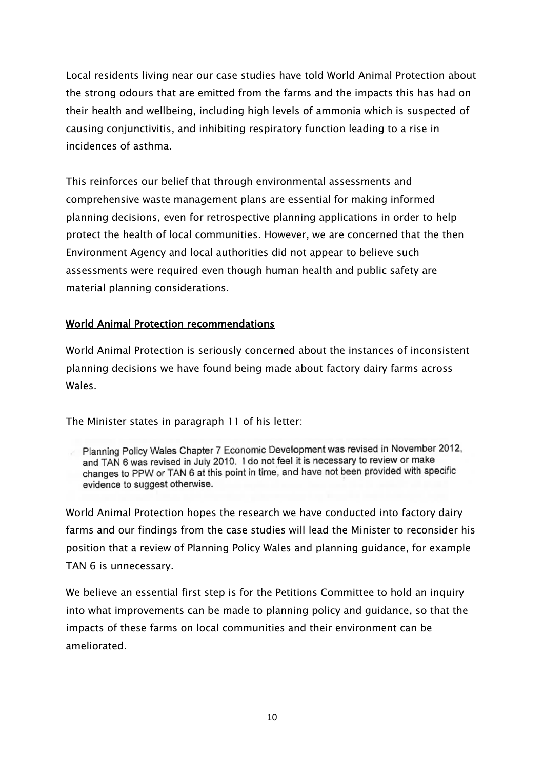Local residents living near our case studies have told World Animal Protection about the strong odours that are emitted from the farms and the impacts this has had on their health and wellbeing, including high levels of ammonia which is suspected of causing conjunctivitis, and inhibiting respiratory function leading to a rise in incidences of asthma.

This reinforces our belief that through environmental assessments and comprehensive waste management plans are essential for making informed planning decisions, even for retrospective planning applications in order to help protect the health of local communities. However, we are concerned that the then Environment Agency and local authorities did not appear to believe such assessments were required even though human health and public safety are material planning considerations.

### World Animal Protection recommendations

World Animal Protection is seriously concerned about the instances of inconsistent planning decisions we have found being made about factory dairy farms across Wales.

The Minister states in paragraph 11 of his letter:

Planning Policy Wales Chapter 7 Economic Development was revised in November 2012, and TAN 6 was revised in July 2010. I do not feel it is necessary to review or make changes to PPW or TAN 6 at this point in time, and have not been provided with specific evidence to suggest otherwise.

World Animal Protection hopes the research we have conducted into factory dairy farms and our findings from the case studies will lead the Minister to reconsider his position that a review of Planning Policy Wales and planning guidance, for example TAN 6 is unnecessary.

We believe an essential first step is for the Petitions Committee to hold an inquiry into what improvements can be made to planning policy and guidance, so that the impacts of these farms on local communities and their environment can be ameliorated.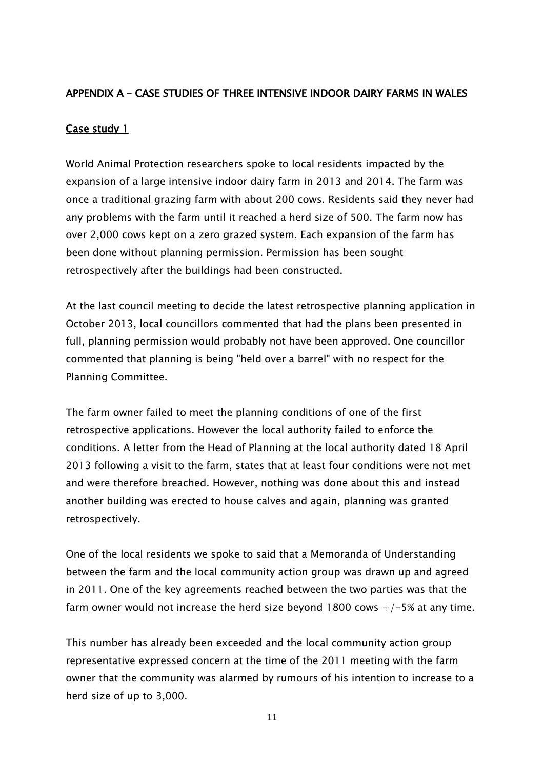## APPENDIX A – CASE STUDIES OF THREE INTENSIVE INDOOR DAIRY FARMS IN WALES

## Case study 1

World Animal Protection researchers spoke to local residents impacted by the expansion of a large intensive indoor dairy farm in 2013 and 2014. The farm was once a traditional grazing farm with about 200 cows. Residents said they never had any problems with the farm until it reached a herd size of 500. The farm now has over 2,000 cows kept on a zero grazed system. Each expansion of the farm has been done without planning permission. Permission has been sought retrospectively after the buildings had been constructed.

At the last council meeting to decide the latest retrospective planning application in October 2013, local councillors commented that had the plans been presented in full, planning permission would probably not have been approved. One councillor commented that planning is being "held over a barrel" with no respect for the Planning Committee.

The farm owner failed to meet the planning conditions of one of the first retrospective applications. However the local authority failed to enforce the conditions. A letter from the Head of Planning at the local authority dated 18 April 2013 following a visit to the farm, states that at least four conditions were not met and were therefore breached. However, nothing was done about this and instead another building was erected to house calves and again, planning was granted retrospectively.

One of the local residents we spoke to said that a Memoranda of Understanding between the farm and the local community action group was drawn up and agreed in 2011. One of the key agreements reached between the two parties was that the farm owner would not increase the herd size beyond 1800 cows  $+/-5\%$  at any time.

This number has already been exceeded and the local community action group representative expressed concern at the time of the 2011 meeting with the farm owner that the community was alarmed by rumours of his intention to increase to a herd size of up to 3,000.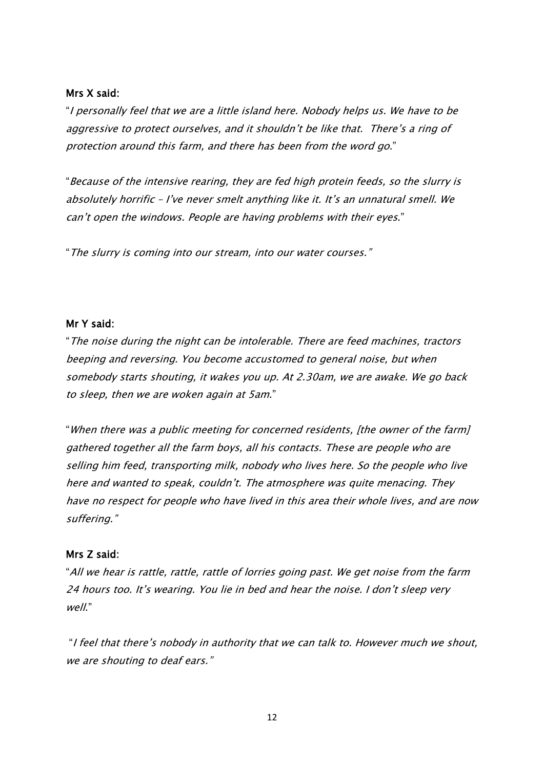#### Mrs X said:

"I personally feel that we are a little island here. Nobody helps us. We have to be aggressive to protect ourselves, and it shouldn't be like that. There's a ring of protection around this farm, and there has been from the word go."

"Because of the intensive rearing, they are fed high protein feeds, so the slurry is absolutely horrific – I"ve never smelt anything like it. It"s an unnatural smell. We can"t open the windows. People are having problems with their eyes."

"The slurry is coming into our stream, into our water courses."

### Mr Y said:

"The noise during the night can be intolerable. There are feed machines, tractors beeping and reversing. You become accustomed to general noise, but when somebody starts shouting, it wakes you up. At 2.30am, we are awake. We go back to sleep, then we are woken again at 5am."

"When there was a public meeting for concerned residents, [the owner of the farm] gathered together all the farm boys, all his contacts. These are people who are selling him feed, transporting milk, nobody who lives here. So the people who live here and wanted to speak, couldn"t. The atmosphere was quite menacing. They have no respect for people who have lived in this area their whole lives, and are now suffering."

### Mrs Z said:

"All we hear is rattle, rattle, rattle of lorries going past. We get noise from the farm 24 hours too. It's wearing. You lie in bed and hear the noise. I don't sleep very  $W$ <sup> $\ell$ </sup>

"I feel that there"s nobody in authority that we can talk to. However much we shout, we are shouting to deaf ears."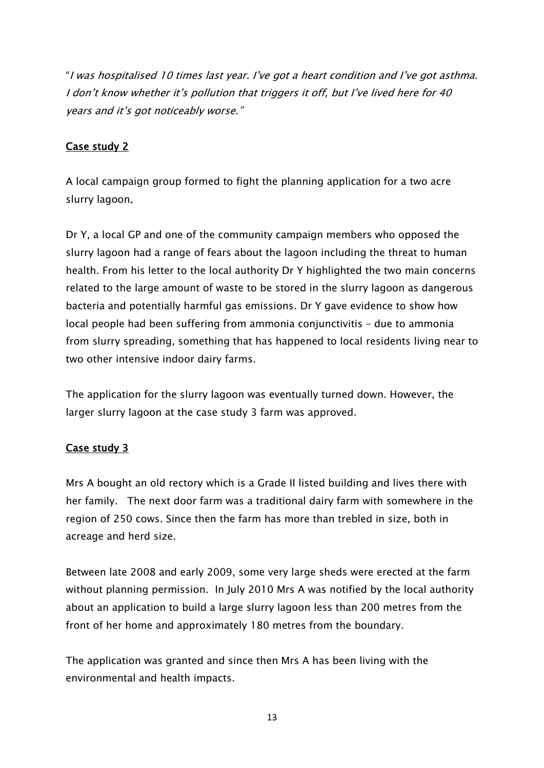"I was hospitalised 10 times last year. I"ve got a heart condition and I"ve got asthma. I don't know whether it's pollution that triggers it off, but I've lived here for 40 years and it's got noticeably worse."

## Case study 2

A local campaign group formed to fight the planning application for a two acre slurry lagoon.

Dr Y, a local GP and one of the community campaign members who opposed the slurry lagoon had a range of fears about the lagoon including the threat to human health. From his letter to the local authority Dr Y highlighted the two main concerns related to the large amount of waste to be stored in the slurry lagoon as dangerous bacteria and potentially harmful gas emissions. Dr Y gave evidence to show how local people had been suffering from ammonia conjunctivitis – due to ammonia from slurry spreading, something that has happened to local residents living near to two other intensive indoor dairy farms.

The application for the slurry lagoon was eventually turned down. However, the larger slurry lagoon at the case study 3 farm was approved.

# Case study 3

Mrs A bought an old rectory which is a Grade II listed building and lives there with her family. The next door farm was a traditional dairy farm with somewhere in the region of 250 cows. Since then the farm has more than trebled in size, both in acreage and herd size.

Between late 2008 and early 2009, some very large sheds were erected at the farm without planning permission. In July 2010 Mrs A was notified by the local authority about an application to build a large slurry lagoon less than 200 metres from the front of her home and approximately 180 metres from the boundary.

The application was granted and since then Mrs A has been living with the environmental and health impacts.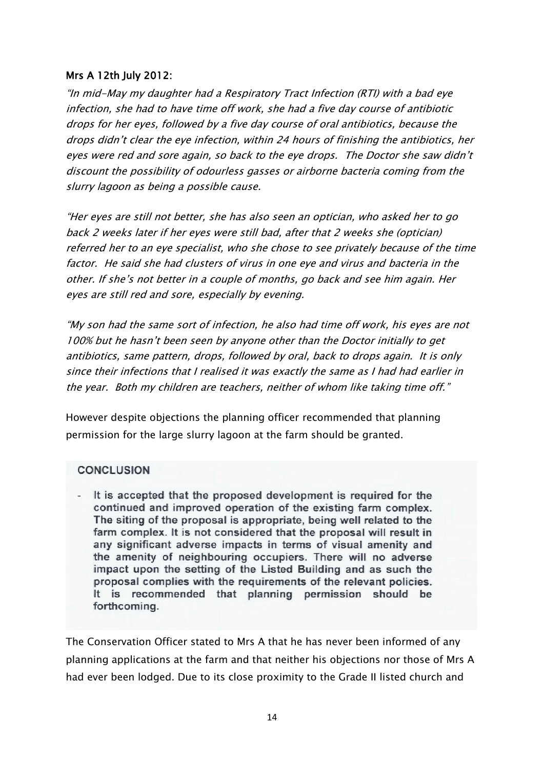### Mrs A 12th July 2012:

"In mid-May my daughter had a Respiratory Tract Infection (RTI) with a bad eye infection, she had to have time off work, she had a five day course of antibiotic drops for her eyes, followed by a five day course of oral antibiotics, because the drops didn"t clear the eye infection, within 24 hours of finishing the antibiotics, her eyes were red and sore again, so back to the eye drops. The Doctor she saw didn"t discount the possibility of odourless gasses or airborne bacteria coming from the slurry lagoon as being a possible cause.

"Her eyes are still not better, she has also seen an optician, who asked her to go back 2 weeks later if her eyes were still bad, after that 2 weeks she (optician) referred her to an eye specialist, who she chose to see privately because of the time factor. He said she had clusters of virus in one eye and virus and bacteria in the other. If she"s not better in a couple of months, go back and see him again. Her eyes are still red and sore, especially by evening.

"My son had the same sort of infection, he also had time off work, his eyes are not 100% but he hasn"t been seen by anyone other than the Doctor initially to get antibiotics, same pattern, drops, followed by oral, back to drops again. It is only since their infections that I realised it was exactly the same as I had had earlier in the year. Both my children are teachers, neither of whom like taking time off."

However despite objections the planning officer recommended that planning permission for the large slurry lagoon at the farm should be granted.

### **CONCLUSION**

- It is accepted that the proposed development is required for the continued and improved operation of the existing farm complex. The siting of the proposal is appropriate, being well related to the farm complex. It is not considered that the proposal will result in any significant adverse impacts in terms of visual amenity and the amenity of neighbouring occupiers. There will no adverse impact upon the setting of the Listed Building and as such the proposal complies with the requirements of the relevant policies. It is recommended that planning permission should be forthcoming.

The Conservation Officer stated to Mrs A that he has never been informed of any planning applications at the farm and that neither his objections nor those of Mrs A had ever been lodged. Due to its close proximity to the Grade II listed church and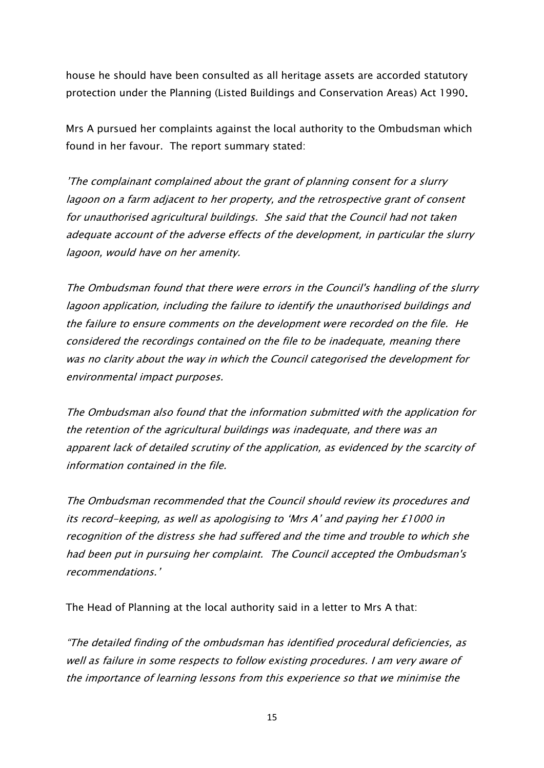house he should have been consulted as all heritage assets are accorded statutory protection under the Planning (Listed Buildings and Conservation Areas) Act 1990.

Mrs A pursued her complaints against the local authority to the Ombudsman which found in her favour. The report summary stated:

"The complainant complained about the grant of planning consent for a slurry lagoon on a farm adjacent to her property, and the retrospective grant of consent for unauthorised agricultural buildings. She said that the Council had not taken adequate account of the adverse effects of the development, in particular the slurry lagoon, would have on her amenity.

The Ombudsman found that there were errors in the Council's handling of the slurry lagoon application, including the failure to identify the unauthorised buildings and the failure to ensure comments on the development were recorded on the file. He considered the recordings contained on the file to be inadequate, meaning there was no clarity about the way in which the Council categorised the development for environmental impact purposes.

The Ombudsman also found that the information submitted with the application for the retention of the agricultural buildings was inadequate, and there was an apparent lack of detailed scrutiny of the application, as evidenced by the scarcity of information contained in the file.

The Ombudsman recommended that the Council should review its procedures and its record-keeping, as well as apologising to "Mrs A" and paying her £1000 in recognition of the distress she had suffered and the time and trouble to which she had been put in pursuing her complaint. The Council accepted the Ombudsman's recommendations."

The Head of Planning at the local authority said in a letter to Mrs A that:

"The detailed finding of the ombudsman has identified procedural deficiencies, as well as failure in some respects to follow existing procedures. I am very aware of the importance of learning lessons from this experience so that we minimise the